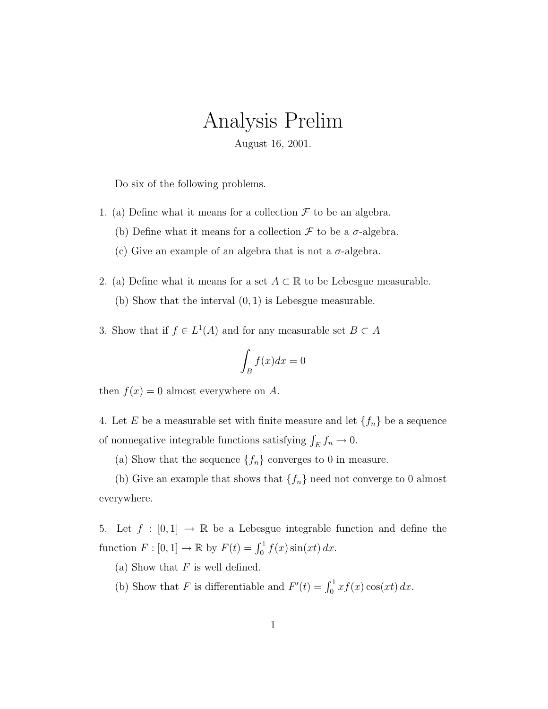## Analysis Prelim

August 16, 2001.

Do six of the following problems.

- 1. (a) Define what it means for a collection  $\mathcal F$  to be an algebra.
	- (b) Define what it means for a collection  $\mathcal F$  to be a  $\sigma$ -algebra.
	- (c) Give an example of an algebra that is not a  $\sigma$ -algebra.
- 2. (a) Define what it means for a set  $A \subset \mathbb{R}$  to be Lebesgue measurable. (b) Show that the interval (0, 1) is Lebesgue measurable.
- 3. Show that if  $f \in L^1(A)$  and for any measurable set  $B \subset A$

$$
\int_B f(x)dx = 0
$$

then  $f(x) = 0$  almost everywhere on A.

4. Let E be a measurable set with finite measure and let  $\{f_n\}$  be a sequence of nonnegative integrable functions satisfying  $\int_E f_n \to 0$ .

(a) Show that the sequence  $\{f_n\}$  converges to 0 in measure.

(b) Give an example that shows that  $\{f_n\}$  need not converge to 0 almost everywhere.

5. Let  $f : [0,1] \rightarrow \mathbb{R}$  be a Lebesgue integrable function and define the function  $F : [0, 1] \to \mathbb{R}$  by  $F(t) = \int_0^1 f(x) \sin(xt) dx$ .

(a) Show that  $F$  is well defined.

(b) Show that F is differentiable and  $F'(t) = \int_0^1 x f(x) \cos(xt) dx$ .